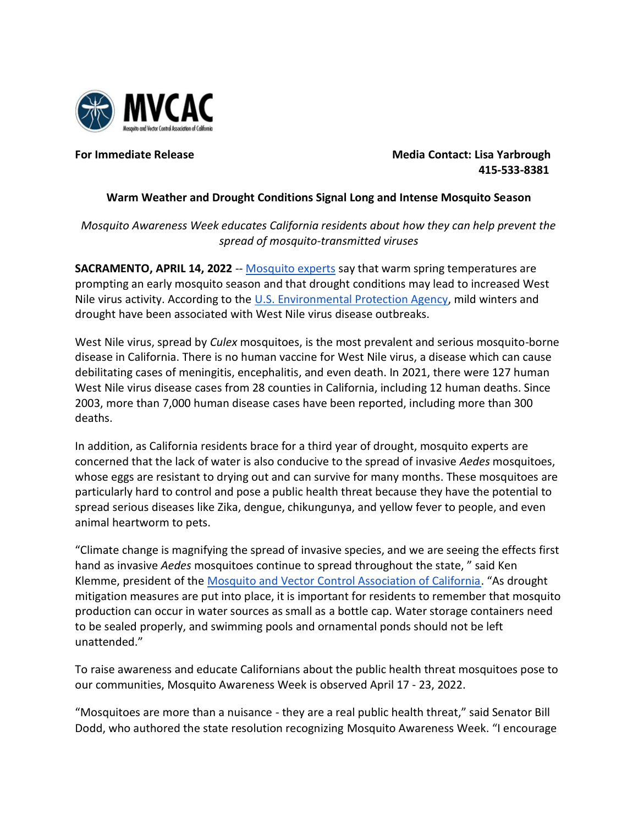

**For Immediate Release Media Contact: Lisa Yarbrough** *Media Contact: Lisa Yarbrough*  **415-533-8381**

## **Warm Weather and Drought Conditions Signal Long and Intense Mosquito Season**

*Mosquito Awareness Week educates California residents about how they can help prevent the spread of mosquito-transmitted viruses*

**SACRAMENTO, APRIL 14, 2022** -- [Mosquito experts](https://www.mvcac.org/) say that warm spring temperatures are prompting an early mosquito season and that drought conditions may lead to increased West Nile virus activity. According to the [U.S. Environmental Protection Agency,](https://www.epa.gov/climate-indicators/climate-change-indicators-west-nile-virus) mild winters and drought have been associated with West Nile virus disease outbreaks.

West Nile virus, spread by *Culex* mosquitoes, is the most prevalent and serious mosquito-borne disease in California. There is no human vaccine for West Nile virus, a disease which can cause debilitating cases of meningitis, encephalitis, and even death. In 2021, there were 127 human West Nile virus disease cases from 28 counties in California, including 12 human deaths. Since 2003, more than 7,000 human disease cases have been reported, including more than 300 deaths.

In addition, as California residents brace for a third year of drought, mosquito experts are concerned that the lack of water is also conducive to the spread of invasive *Aedes* mosquitoes, whose eggs are resistant to drying out and can survive for many months. These mosquitoes are particularly hard to control and pose a public health threat because they have the potential to spread serious diseases like Zika, dengue, chikungunya, and yellow fever to people, and even animal heartworm to pets.

"Climate change is magnifying the spread of invasive species, and we are seeing the effects first hand as invasive *Aedes* mosquitoes continue to spread throughout the state, " said Ken Klemme, president of th[e](http://www.mvcac.org/) [Mosquito and Vector Control Association of California](http://www.mvcac.org/). "As drought mitigation measures are put into place, it is important for residents to remember that mosquito production can occur in water sources as small as a bottle cap. Water storage containers need to be sealed properly, and swimming pools and ornamental ponds should not be left unattended."

To raise awareness and educate Californians about the public health threat mosquitoes pose to our communities, Mosquito Awareness Week is observed April 17 - 23, 2022.

"Mosquitoes are more than a nuisance - they are a real public health threat," said Senator Bill Dodd, who authored the state resolution recognizing Mosquito Awareness Week. "I encourage